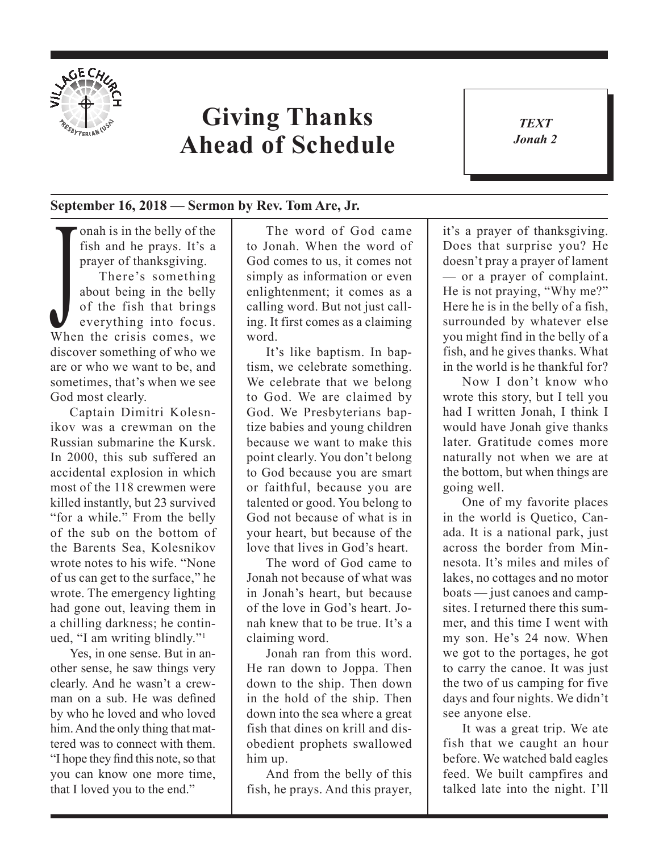

## **Giving Thanks Ahead of Schedule**

*TEXT Jonah 2* 1

## **September 16, 2018 — Sermon by Rev. Tom Are, Jr.**

There's something<br>about being in the belly<br>of the fish that brings<br>everything into focus.<br>When the crisis comes, we onah is in the belly of the fish and he prays. It's a prayer of thanksgiving. There's something about being in the belly of the fish that brings everything into focus. discover something of who we are or who we want to be, and sometimes, that's when we see God most clearly.

Captain Dimitri Kolesnikov was a crewman on the Russian submarine the Kursk. In 2000, this sub suffered an accidental explosion in which most of the 118 crewmen were killed instantly, but 23 survived "for a while." From the belly of the sub on the bottom of the Barents Sea, Kolesnikov wrote notes to his wife. "None of us can get to the surface," he wrote. The emergency lighting had gone out, leaving them in a chilling darkness; he continued, "I am writing blindly."1

Yes, in one sense. But in another sense, he saw things very clearly. And he wasn't a crewman on a sub. He was defined by who he loved and who loved him. And the only thing that mattered was to connect with them. "I hope they find this note, so that you can know one more time, that I loved you to the end."

The word of God came to Jonah. When the word of God comes to us, it comes not simply as information or even enlightenment; it comes as a calling word. But not just calling. It first comes as a claiming word.

It's like baptism. In baptism, we celebrate something. We celebrate that we belong to God. We are claimed by God. We Presbyterians baptize babies and young children because we want to make this point clearly. You don't belong to God because you are smart or faithful, because you are talented or good. You belong to God not because of what is in your heart, but because of the love that lives in God's heart.

The word of God came to Jonah not because of what was in Jonah's heart, but because of the love in God's heart. Jonah knew that to be true. It's a claiming word.

Jonah ran from this word. He ran down to Joppa. Then down to the ship. Then down in the hold of the ship. Then down into the sea where a great fish that dines on krill and disobedient prophets swallowed him up.

And from the belly of this fish, he prays. And this prayer,

it's a prayer of thanksgiving. Does that surprise you? He doesn't pray a prayer of lament — or a prayer of complaint. He is not praying, "Why me?" Here he is in the belly of a fish, surrounded by whatever else you might find in the belly of a fish, and he gives thanks. What in the world is he thankful for?

Now I don't know who wrote this story, but I tell you had I written Jonah, I think I would have Jonah give thanks later. Gratitude comes more naturally not when we are at the bottom, but when things are going well.

One of my favorite places in the world is Quetico, Canada. It is a national park, just across the border from Minnesota. It's miles and miles of lakes, no cottages and no motor boats — just canoes and campsites. I returned there this summer, and this time I went with my son. He's 24 now. When we got to the portages, he got to carry the canoe. It was just the two of us camping for five days and four nights. We didn't see anyone else.

It was a great trip. We ate fish that we caught an hour before. We watched bald eagles feed. We built campfires and talked late into the night. I'll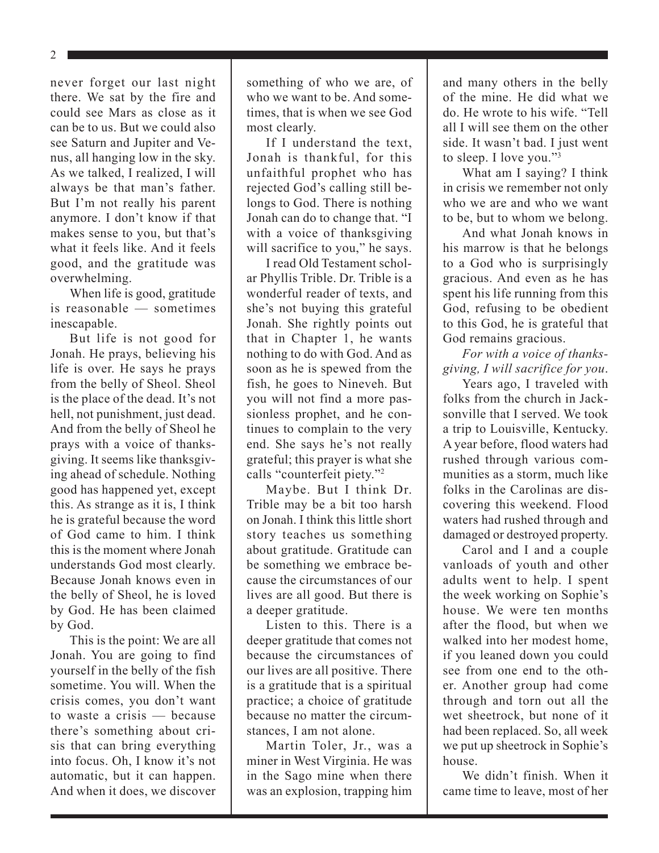2

never forget our last night there. We sat by the fire and could see Mars as close as it can be to us. But we could also see Saturn and Jupiter and Venus, all hanging low in the sky. As we talked, I realized, I will always be that man's father. But I'm not really his parent anymore. I don't know if that makes sense to you, but that's what it feels like. And it feels good, and the gratitude was overwhelming.

When life is good, gratitude is reasonable — sometimes inescapable.

But life is not good for Jonah. He prays, believing his life is over. He says he prays from the belly of Sheol. Sheol is the place of the dead. It's not hell, not punishment, just dead. And from the belly of Sheol he prays with a voice of thanksgiving. It seems like thanksgiving ahead of schedule. Nothing good has happened yet, except this. As strange as it is, I think he is grateful because the word of God came to him. I think this is the moment where Jonah understands God most clearly. Because Jonah knows even in the belly of Sheol, he is loved by God. He has been claimed by God.

This is the point: We are all Jonah. You are going to find yourself in the belly of the fish sometime. You will. When the crisis comes, you don't want to waste a crisis — because there's something about crisis that can bring everything into focus. Oh, I know it's not automatic, but it can happen. And when it does, we discover

something of who we are, of who we want to be. And sometimes, that is when we see God most clearly.

If I understand the text, Jonah is thankful, for this unfaithful prophet who has rejected God's calling still belongs to God. There is nothing Jonah can do to change that. "I with a voice of thanksgiving will sacrifice to you," he says.

I read Old Testament scholar Phyllis Trible. Dr. Trible is a wonderful reader of texts, and she's not buying this grateful Jonah. She rightly points out that in Chapter 1, he wants nothing to do with God. And as soon as he is spewed from the fish, he goes to Nineveh. But you will not find a more passionless prophet, and he continues to complain to the very end. She says he's not really grateful; this prayer is what she calls "counterfeit piety."2

Maybe. But I think Dr. Trible may be a bit too harsh on Jonah. I think this little short story teaches us something about gratitude. Gratitude can be something we embrace because the circumstances of our lives are all good. But there is a deeper gratitude.

Listen to this. There is a deeper gratitude that comes not because the circumstances of our lives are all positive. There is a gratitude that is a spiritual practice; a choice of gratitude because no matter the circumstances, I am not alone.

Martin Toler, Jr., was a miner in West Virginia. He was in the Sago mine when there was an explosion, trapping him and many others in the belly of the mine. He did what we do. He wrote to his wife. "Tell all I will see them on the other side. It wasn't bad. I just went to sleep. I love you."3

What am I saying? I think in crisis we remember not only who we are and who we want to be, but to whom we belong.

And what Jonah knows in his marrow is that he belongs to a God who is surprisingly gracious. And even as he has spent his life running from this God, refusing to be obedient to this God, he is grateful that God remains gracious.

## *For with a voice of thanksgiving, I will sacrifice for you*.

Years ago, I traveled with folks from the church in Jacksonville that I served. We took a trip to Louisville, Kentucky. A year before, flood waters had rushed through various communities as a storm, much like folks in the Carolinas are discovering this weekend. Flood waters had rushed through and damaged or destroyed property.

Carol and I and a couple vanloads of youth and other adults went to help. I spent the week working on Sophie's house. We were ten months after the flood, but when we walked into her modest home, if you leaned down you could see from one end to the other. Another group had come through and torn out all the wet sheetrock, but none of it had been replaced. So, all week we put up sheetrock in Sophie's house.

We didn't finish. When it came time to leave, most of her